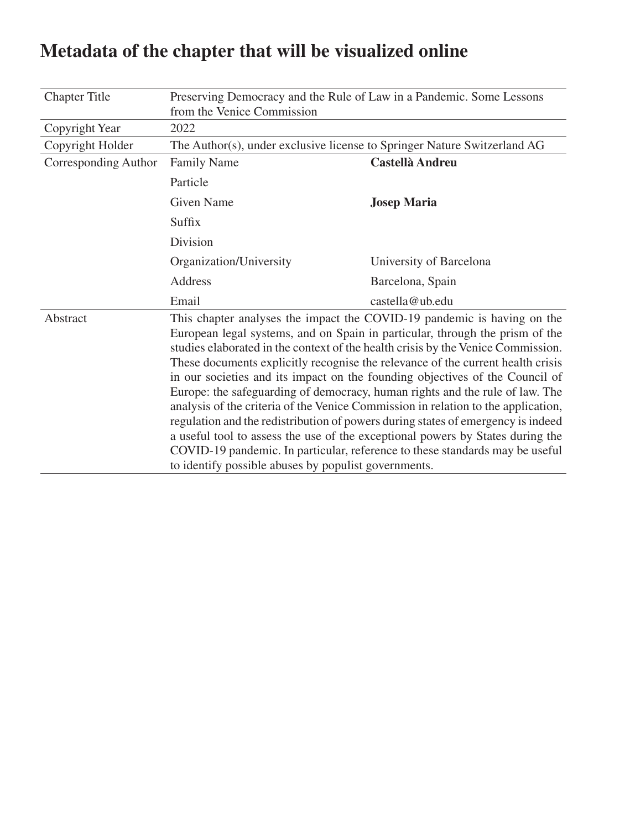| <b>Chapter Title</b> | Preserving Democracy and the Rule of Law in a Pandemic. Some Lessons                                                                                                                                                                                                                                                                                                                                                                                                                                                                                                                                                                                                                                                                                                                                                                                                                              |                         |  |
|----------------------|---------------------------------------------------------------------------------------------------------------------------------------------------------------------------------------------------------------------------------------------------------------------------------------------------------------------------------------------------------------------------------------------------------------------------------------------------------------------------------------------------------------------------------------------------------------------------------------------------------------------------------------------------------------------------------------------------------------------------------------------------------------------------------------------------------------------------------------------------------------------------------------------------|-------------------------|--|
|                      | from the Venice Commission                                                                                                                                                                                                                                                                                                                                                                                                                                                                                                                                                                                                                                                                                                                                                                                                                                                                        |                         |  |
| Copyright Year       | 2022                                                                                                                                                                                                                                                                                                                                                                                                                                                                                                                                                                                                                                                                                                                                                                                                                                                                                              |                         |  |
| Copyright Holder     | The Author(s), under exclusive license to Springer Nature Switzerland AG                                                                                                                                                                                                                                                                                                                                                                                                                                                                                                                                                                                                                                                                                                                                                                                                                          |                         |  |
| Corresponding Author | <b>Family Name</b>                                                                                                                                                                                                                                                                                                                                                                                                                                                                                                                                                                                                                                                                                                                                                                                                                                                                                | Castellà Andreu         |  |
|                      | Particle                                                                                                                                                                                                                                                                                                                                                                                                                                                                                                                                                                                                                                                                                                                                                                                                                                                                                          |                         |  |
|                      | <b>Given Name</b>                                                                                                                                                                                                                                                                                                                                                                                                                                                                                                                                                                                                                                                                                                                                                                                                                                                                                 | <b>Josep Maria</b>      |  |
|                      | Suffix                                                                                                                                                                                                                                                                                                                                                                                                                                                                                                                                                                                                                                                                                                                                                                                                                                                                                            |                         |  |
|                      | Division                                                                                                                                                                                                                                                                                                                                                                                                                                                                                                                                                                                                                                                                                                                                                                                                                                                                                          |                         |  |
|                      | Organization/University                                                                                                                                                                                                                                                                                                                                                                                                                                                                                                                                                                                                                                                                                                                                                                                                                                                                           | University of Barcelona |  |
|                      | Address                                                                                                                                                                                                                                                                                                                                                                                                                                                                                                                                                                                                                                                                                                                                                                                                                                                                                           | Barcelona, Spain        |  |
|                      | Email                                                                                                                                                                                                                                                                                                                                                                                                                                                                                                                                                                                                                                                                                                                                                                                                                                                                                             | castella@ub.edu         |  |
| Abstract             | This chapter analyses the impact the COVID-19 pandemic is having on the<br>European legal systems, and on Spain in particular, through the prism of the<br>studies elaborated in the context of the health crisis by the Venice Commission.<br>These documents explicitly recognise the relevance of the current health crisis<br>in our societies and its impact on the founding objectives of the Council of<br>Europe: the safeguarding of democracy, human rights and the rule of law. The<br>analysis of the criteria of the Venice Commission in relation to the application,<br>regulation and the redistribution of powers during states of emergency is indeed<br>a useful tool to assess the use of the exceptional powers by States during the<br>COVID-19 pandemic. In particular, reference to these standards may be useful<br>to identify possible abuses by populist governments. |                         |  |

# **Metadata of the chapter that will be visualized online**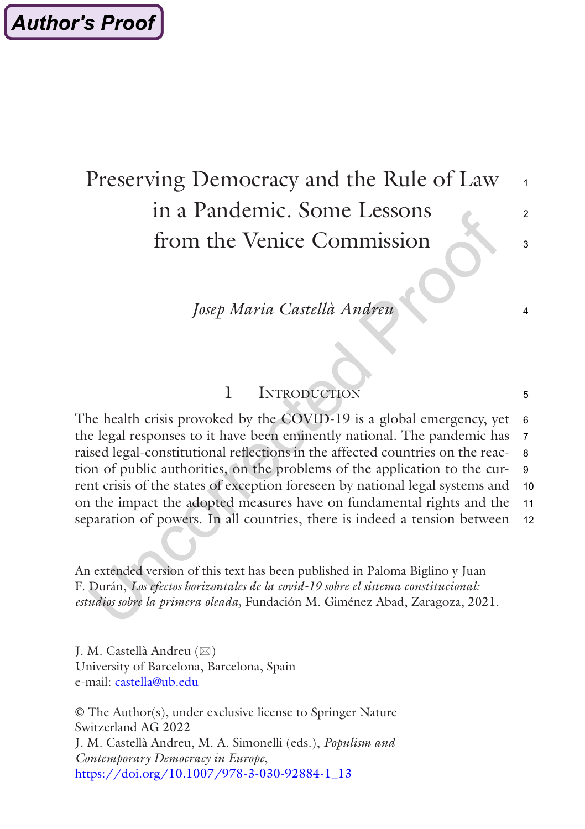# Preserving Democracy and the Rule of Law in a Pandemic. Some Lessons from the Venice Commission 1  $\mathfrak{p}$  $\overline{\mathbf{3}}$

# *Josep Maria Castellà Andreu*

4

5

# 1 Introduction

The health crisis provoked by the COVID-19 is a global emergency, yet the legal responses to it have been eminently national. The pandemic has raised legal-constitutional reflections in the affected countries on the reaction of public authorities, on the problems of the application to the current crisis of the states of exception foreseen by national legal systems and on the impact the adopted measures have on fundamental rights and the separation of powers. In all countries, there is indeed a tension between 6 7 8 9 10 11 12

J. M. Castellà Andreu  $(\boxtimes)$ University of Barcelona, Barcelona, Spain e-mail: [castella@ub.edu](mailto:castella@ub.edu)

© The Author(s), under exclusive license to Springer Nature Switzerland AG 2022 J. M. Castellà Andreu, M. A. Simonelli (eds.), *Populism and Contemporary Democracy in Europe*, [https://doi.org/10.1007/978-3-030-92884-1\\_13](https://doi.org/10.1007/978-3-030-92884-1_13#DOI)

An extended version of this text has been published in Paloma Biglino y Juan F. Durán, *Los efectos horizontales de la covid-19 sobre el sistema constitucional: estudios sobre la primera oleada,* Fundación M. Giménez Abad, Zaragoza, 2021.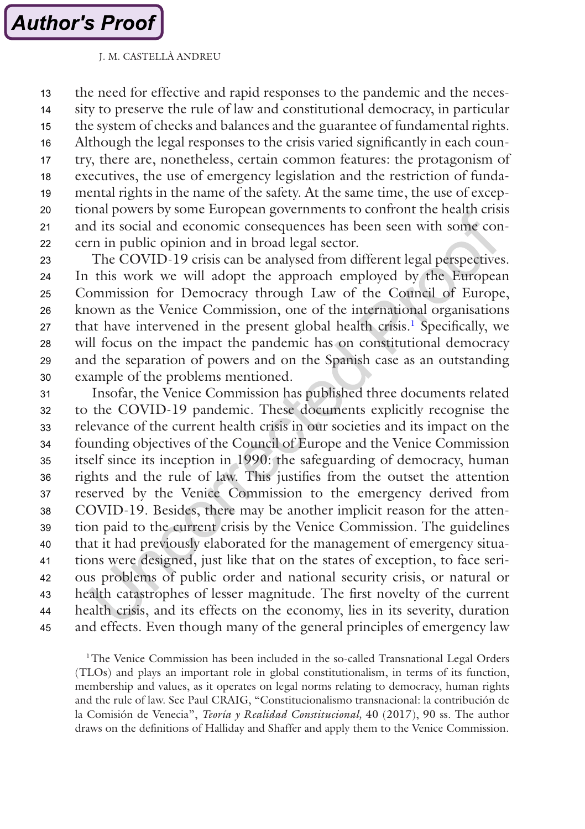the need for effective and rapid responses to the pandemic and the necessity to preserve the rule of law and constitutional democracy, in particular the system of checks and balances and the guarantee of fundamental rights. Although the legal responses to the crisis varied significantly in each country, there are, nonetheless, certain common features: the protagonism of executives, the use of emergency legislation and the restriction of fundamental rights in the name of the safety. At the same time, the use of exceptional powers by some European governments to confront the health crisis and its social and economic consequences has been seen with some concern in public opinion and in broad legal sector. 13 14 15 16 17 18 19 20 21 22

The COVID-19 crisis can be analysed from different legal perspectives. In this work we will adopt the approach employed by the European Commission for Democracy through Law of the Council of Europe, known as the Venice Commission, one of the international organisations that have intervened in the present global health crisis.<sup>1</sup> Specifically, we will focus on the impact the pandemic has on constitutional democracy and the separation of powers and on the Spanish case as an outstanding example of the problems mentioned. 23  $24$ 25 26 27 28 29 30

Insofar, the Venice Commission has published three documents related to the COVID-19 pandemic. These documents explicitly recognise the relevance of the current health crisis in our societies and its impact on the founding objectives of the Council of Europe and the Venice Commission itself since its inception in 1990: the safeguarding of democracy, human rights and the rule of law. This justifies from the outset the attention reserved by the Venice Commission to the emergency derived from COVID-19. Besides, there may be another implicit reason for the attention paid to the current crisis by the Venice Commission. The guidelines that it had previously elaborated for the management of emergency situations were designed, just like that on the states of exception, to face serious problems of public order and national security crisis, or natural or health catastrophes of lesser magnitude. The first novelty of the current health crisis, and its effects on the economy, lies in its severity, duration and effects. Even though many of the general principles of emergency law 31 32 33 34 35 36 37 38 39 40 41 42 43 44 45

<sup>1</sup>The Venice Commission has been included in the so-called Transnational Legal Orders (TLOs) and plays an important role in global constitutionalism, in terms of its function, membership and values, as it operates on legal norms relating to democracy, human rights and the rule of law. See Paul CRAIG, "Constitucionalismo transnacional: la contribución de la Comisión de Venecia", *Teoría y Realidad Constitucional,* 40 (2017), 90 ss. The author draws on the definitions of Halliday and Shaffer and apply them to the Venice Commission.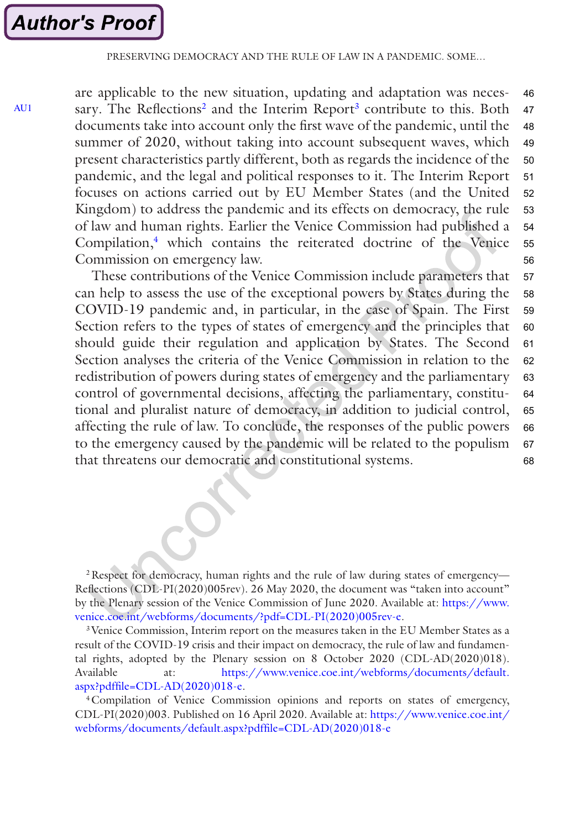<span id="page-3-0"></span>[AU1](#page-20-0)

are applicable to the new situation, updating and adaptation was necessary. The Reflections<sup>2</sup> and the Interim Report<sup>3</sup> contribute to this. Both documents take into account only the first wave of the pandemic, until the summer of 2020, without taking into account subsequent waves, which present characteristics partly different, both as regards the incidence of the pandemic, and the legal and political responses to it. The Interim Report focuses on actions carried out by EU Member States (and the United Kingdom) to address the pandemic and its effects on democracy, the rule of law and human rights. Earlier the Venice Commission had published a Compilation,<sup>4</sup> which contains the reiterated doctrine of the Venice Commission on emergency law. 46 47 48 49 50 51 52 53 54 55 56

These contributions of the Venice Commission include parameters that can help to assess the use of the exceptional powers by States during the COVID-19 pandemic and, in particular, in the case of Spain. The First Section refers to the types of states of emergency and the principles that should guide their regulation and application by States. The Second Section analyses the criteria of the Venice Commission in relation to the redistribution of powers during states of emergency and the parliamentary control of governmental decisions, affecting the parliamentary, constitutional and pluralist nature of democracy, in addition to judicial control, affecting the rule of law. To conclude, the responses of the public powers to the emergency caused by the pandemic will be related to the populism that threatens our democratic and constitutional systems. 57 58 59 60 61 62 63 64 65 66 67 68

<sup>2</sup> Respect for democracy, human rights and the rule of law during states of emergency— Reflections (CDL-PI(2020)005rev). 26 May 2020, the document was "taken into account" by the Plenary session of the Venice Commission of June 2020. Available at: [https://www.](https://www.venice.coe.int/webforms/documents/?pdf=CDL-PI(2020)005rev-e) [venice.coe.int/webforms/documents/?pdf=CDL-PI\(2020\)005rev-e.](https://www.venice.coe.int/webforms/documents/?pdf=CDL-PI(2020)005rev-e)

3Venice Commission, Interim report on the measures taken in the EU Member States as a result of the COVID-19 crisis and their impact on democracy, the rule of law and fundamental rights, adopted by the Plenary session on 8 October 2020 (CDL-AD(2020)018). Available at: [https://www.venice.coe.int/webforms/documents/default.](https://www.venice.coe.int/webforms/documents/default.aspx?pdffile=CDL-AD(2020)018-e) [aspx?pdffile=CDL-AD\(2020\)018-e.](https://www.venice.coe.int/webforms/documents/default.aspx?pdffile=CDL-AD(2020)018-e)

4Compilation of Venice Commission opinions and reports on states of emergency, CDL-PI(2020)003. Published on 16 April 2020. Available at: [https://www.venice.coe.int/](https://www.venice.coe.int/webforms/documents/default.aspx?pdffile=CDL-AD(2020)018-e) [webforms/documents/default.aspx?pdffile=CDL-AD\(2020\)018-e](https://www.venice.coe.int/webforms/documents/default.aspx?pdffile=CDL-AD(2020)018-e)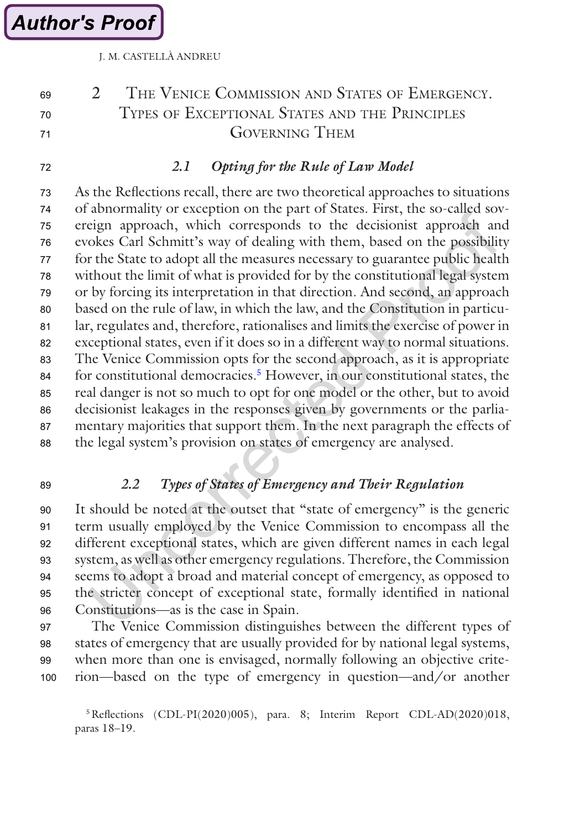**Author's Proof** 

J. M. CASTELLÀ ANDREU

#### 2 THE VENICE COMMISSION AND STATES OF EMERGENCY. Types of Exceptional States and the Principles Governing Them 69 70 71

72

# *2.1 Opting for the Rule of Law Model*

As the Reflections recall, there are two theoretical approaches to situations of abnormality or exception on the part of States. First, the so-called sovereign approach, which corresponds to the decisionist approach and evokes Carl Schmitt's way of dealing with them, based on the possibility for the State to adopt all the measures necessary to guarantee public health without the limit of what is provided for by the constitutional legal system or by forcing its interpretation in that direction. And second, an approach based on the rule of law, in which the law, and the Constitution in particular, regulates and, therefore, rationalises and limits the exercise of power in exceptional states, even if it does so in a different way to normal situations. The Venice Commission opts for the second approach, as it is appropriate for constitutional democracies.<sup>5</sup> However, in our constitutional states, the real danger is not so much to opt for one model or the other, but to avoid decisionist leakages in the responses given by governments or the parliamentary majorities that support them. In the next paragraph the effects of the legal system's provision on states of emergency are analysed. 73 74 75 76 77 78 79 80 81 82 83 84 85 86 87 88

89

# *2.2 Types of States of Emergency and Their Regulation*

It should be noted at the outset that "state of emergency" is the generic term usually employed by the Venice Commission to encompass all the different exceptional states, which are given different names in each legal system, as well as other emergency regulations. Therefore, the Commission seems to adopt a broad and material concept of emergency, as opposed to the stricter concept of exceptional state, formally identified in national Constitutions—as is the case in Spain. 90 91 92 93 94 95 96

The Venice Commission distinguishes between the different types of states of emergency that are usually provided for by national legal systems, when more than one is envisaged, normally following an objective criterion—based on the type of emergency in question—and/or another 97 98 99 100

5Reflections (CDL-PI(2020)005), para. 8; Interim Report CDL-AD(2020)018, paras 18–19.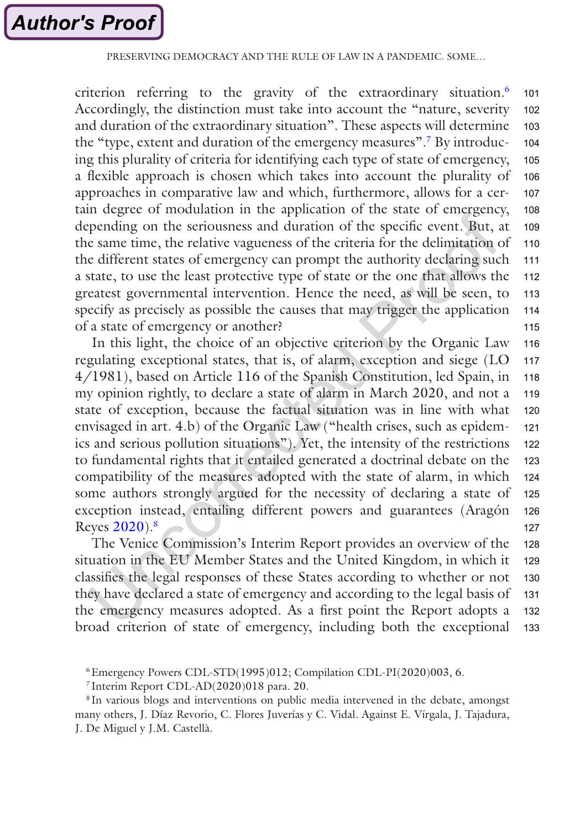### PRESERVING DEMOCRACY AND THE RULE OF LAW IN A PANDEMIC. SOME

criterion referring to the gravity of the extraordinary situation.<sup>6</sup> Accordingly, the distinction must take into account the "nature, severity and duration of the extraordinary situation". These aspects will determine the "type, extent and duration of the emergency measures".7 By introducing this plurality of criteria for identifying each type of state of emergency, a flexible approach is chosen which takes into account the plurality of approaches in comparative law and which, furthermore, allows for a certain degree of modulation in the application of the state of emergency, depending on the seriousness and duration of the specific event. But, at the same time, the relative vagueness of the criteria for the delimitation of the different states of emergency can prompt the authority declaring such a state, to use the least protective type of state or the one that allows the greatest governmental intervention. Hence the need, as will be seen, to specify as precisely as possible the causes that may trigger the application of a state of emergency or another? 101 102 103 104 105 106 107 108 109 110 111 112 113 114 115

In this light, the choice of an objective criterion by the Organic Law regulating exceptional states, that is, of alarm, exception and siege (LO 4/1981), based on Article 116 of the Spanish Constitution, led Spain, in my opinion rightly, to declare a state of alarm in March 2020, and not a state of exception, because the factual situation was in line with what envisaged in art. 4.b) of the Organic Law ("health crises, such as epidemics and serious pollution situations"). Yet, the intensity of the restrictions to fundamental rights that it entailed generated a doctrinal debate on the compatibility of the measures adopted with the state of alarm, in which some authors strongly argued for the necessity of declaring a state of exception instead, entailing different powers and guarantees (Aragón Reyes [2020](#page-19-0)).8 116 117 118 119 120 121 122 123 124 125 126 127

The Venice Commission's Interim Report provides an overview of the situation in the EU Member States and the United Kingdom, in which it classifies the legal responses of these States according to whether or not they have declared a state of emergency and according to the legal basis of the emergency measures adopted. As a first point the Report adopts a broad criterion of state of emergency, including both the exceptional 128 129 130 131 132 133

<sup>6</sup>Emergency Powers CDL-STD(1995)012; Compilation CDL-PI(2020)003, 6.

<sup>7</sup> Interim Report CDL-AD(2020)018 para. 20.

<sup>&</sup>lt;sup>8</sup> In various blogs and interventions on public media intervened in the debate, amongst many others, J. Díaz Revorio, C. Flores Juverías y C. Vidal. Against E. Vírgala, J. Tajadura, J. De Miguel y J.M. Castellà.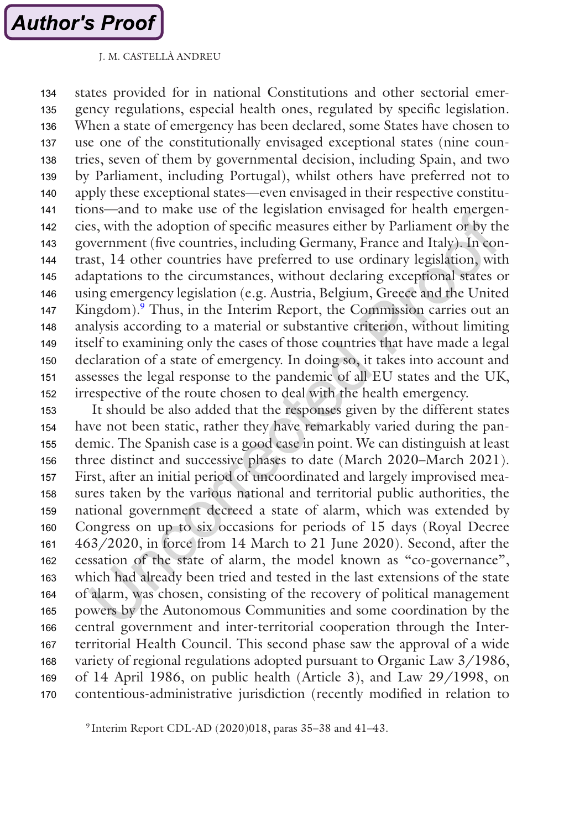states provided for in national Constitutions and other sectorial emergency regulations, especial health ones, regulated by specific legislation. When a state of emergency has been declared, some States have chosen to use one of the constitutionally envisaged exceptional states (nine countries, seven of them by governmental decision, including Spain, and two by Parliament, including Portugal), whilst others have preferred not to apply these exceptional states—even envisaged in their respective constitutions—and to make use of the legislation envisaged for health emergencies, with the adoption of specific measures either by Parliament or by the government (five countries, including Germany, France and Italy). In contrast, 14 other countries have preferred to use ordinary legislation, with adaptations to the circumstances, without declaring exceptional states or using emergency legislation (e.g. Austria, Belgium, Greece and the United Kingdom).<sup>9</sup> Thus, in the Interim Report, the Commission carries out an analysis according to a material or substantive criterion, without limiting itself to examining only the cases of those countries that have made a legal declaration of a state of emergency. In doing so, it takes into account and assesses the legal response to the pandemic of all EU states and the UK, irrespective of the route chosen to deal with the health emergency. 134 135 136 137 138 139 140 141 142 143 144 145 146 147 148 149 150 151 152

It should be also added that the responses given by the different states have not been static, rather they have remarkably varied during the pandemic. The Spanish case is a good case in point. We can distinguish at least three distinct and successive phases to date (March 2020–March 2021). First, after an initial period of uncoordinated and largely improvised measures taken by the various national and territorial public authorities, the national government decreed a state of alarm, which was extended by Congress on up to six occasions for periods of 15 days (Royal Decree 463/2020, in force from 14 March to 21 June 2020). Second, after the cessation of the state of alarm, the model known as "co-governance", which had already been tried and tested in the last extensions of the state of alarm, was chosen, consisting of the recovery of political management powers by the Autonomous Communities and some coordination by the central government and inter-territorial cooperation through the Interterritorial Health Council. This second phase saw the approval of a wide variety of regional regulations adopted pursuant to Organic Law 3/1986, of 14 April 1986, on public health (Article 3), and Law 29/1998, on contentious-administrative jurisdiction (recently modified in relation to 153 154 155 156 157 158 159 160 161 162 163 164 165 166 167 168 169 170

<sup>9</sup> Interim Report CDL-AD (2020)018, paras 35–38 and 41–43.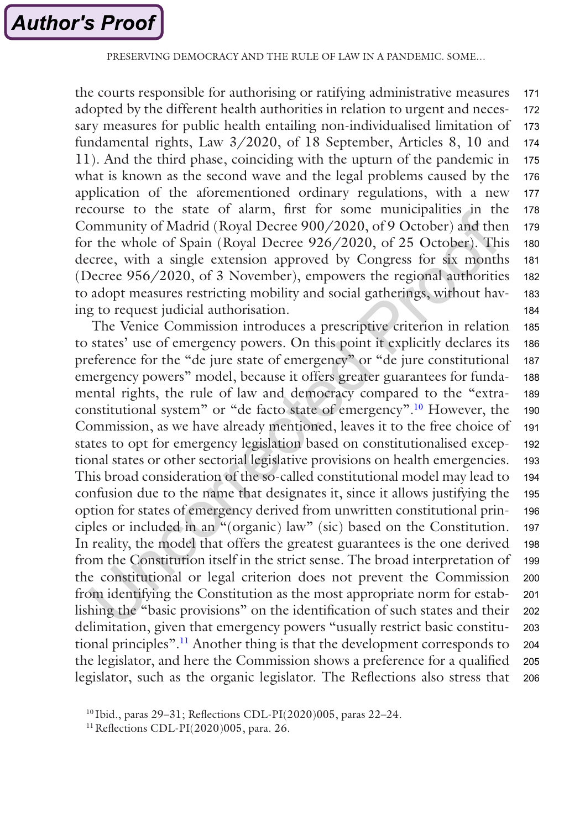the courts responsible for authorising or ratifying administrative measures adopted by the different health authorities in relation to urgent and necessary measures for public health entailing non-individualised limitation of fundamental rights, Law 3/2020, of 18 September, Articles 8, 10 and 11). And the third phase, coinciding with the upturn of the pandemic in what is known as the second wave and the legal problems caused by the application of the aforementioned ordinary regulations, with a new recourse to the state of alarm, first for some municipalities in the Community of Madrid (Royal Decree 900/2020, of 9 October) and then for the whole of Spain (Royal Decree 926/2020, of 25 October). This decree, with a single extension approved by Congress for six months (Decree 956/2020, of 3 November), empowers the regional authorities to adopt measures restricting mobility and social gatherings, without having to request judicial authorisation. 171 172 173 174 175 176 177 178 179 180 181 182 183 184

The Venice Commission introduces a prescriptive criterion in relation to states' use of emergency powers. On this point it explicitly declares its preference for the "de jure state of emergency" or "de jure constitutional emergency powers" model, because it offers greater guarantees for fundamental rights, the rule of law and democracy compared to the "extraconstitutional system" or "de facto state of emergency".10 However, the Commission, as we have already mentioned, leaves it to the free choice of states to opt for emergency legislation based on constitutionalised exceptional states or other sectorial legislative provisions on health emergencies. This broad consideration of the so-called constitutional model may lead to confusion due to the name that designates it, since it allows justifying the option for states of emergency derived from unwritten constitutional principles or included in an "(organic) law" (sic) based on the Constitution. In reality, the model that offers the greatest guarantees is the one derived from the Constitution itself in the strict sense. The broad interpretation of the constitutional or legal criterion does not prevent the Commission from identifying the Constitution as the most appropriate norm for establishing the "basic provisions" on the identification of such states and their delimitation, given that emergency powers "usually restrict basic constitutional principles".11 Another thing is that the development corresponds to the legislator, and here the Commission shows a preference for a qualified legislator, such as the organic legislator. The Reflections also stress that 185 186 187 188 189 190 191 192 193 194 195 196 197 198 199 200 201 202 203 204 205 206

<sup>10</sup> Ibid., paras 29–31; Reflections CDL-PI(2020)005, paras 22–24.

<sup>11</sup>Reflections CDL-PI(2020)005, para. 26.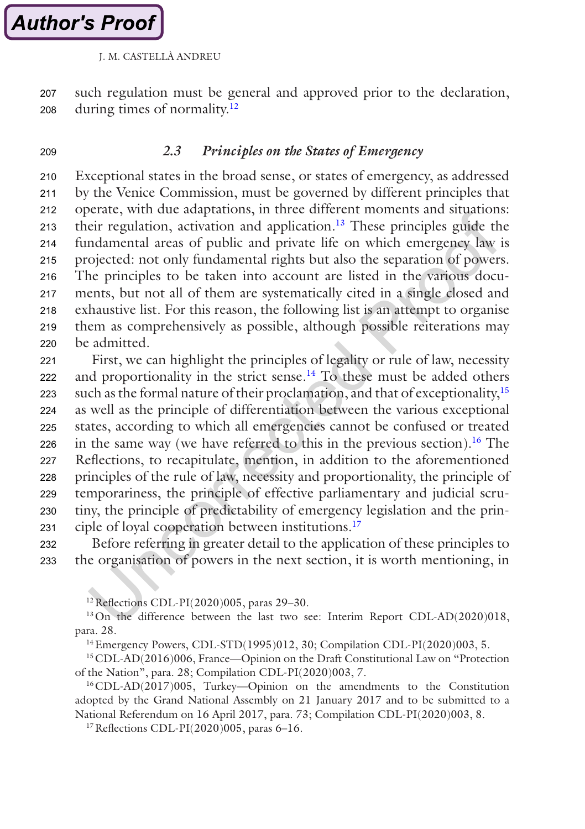such regulation must be general and approved prior to the declaration, during times of normality.12 207 208

209

# *2.3 Principles on the States of Emergency*

Exceptional states in the broad sense, or states of emergency, as addressed by the Venice Commission, must be governed by different principles that operate, with due adaptations, in three different moments and situations: their regulation, activation and application.13 These principles guide the fundamental areas of public and private life on which emergency law is projected: not only fundamental rights but also the separation of powers. The principles to be taken into account are listed in the various documents, but not all of them are systematically cited in a single closed and exhaustive list. For this reason, the following list is an attempt to organise them as comprehensively as possible, although possible reiterations may be admitted. 210 211 212 213 214 215 216 217 218 219 220

First, we can highlight the principles of legality or rule of law, necessity and proportionality in the strict sense.<sup>14</sup> To these must be added others such as the formal nature of their proclamation, and that of exceptionality,15 as well as the principle of differentiation between the various exceptional states, according to which all emergencies cannot be confused or treated in the same way (we have referred to this in the previous section).<sup>16</sup> The Reflections, to recapitulate, mention, in addition to the aforementioned principles of the rule of law, necessity and proportionality, the principle of temporariness, the principle of effective parliamentary and judicial scrutiny, the principle of predictability of emergency legislation and the principle of loyal cooperation between institutions.<sup>17</sup> 221 222 223 224 225 226 227 228 229 230 231

Before referring in greater detail to the application of these principles to the organisation of powers in the next section, it is worth mentioning, in 232 233

12Reflections CDL-PI(2020)005, paras 29–30.

<sup>13</sup>On the difference between the last two see: Interim Report CDL-AD(2020)018, para. 28.

14Emergency Powers, CDL-STD(1995)012, 30; Compilation CDL-PI(2020)003, 5.

15CDL-AD(2016)006, France—Opinion on the Draft Constitutional Law on "Protection of the Nation", para. 28; Compilation CDL-PI(2020)003, 7.

16CDL-AD(2017)005, Turkey—Opinion on the amendments to the Constitution adopted by the Grand National Assembly on 21 January 2017 and to be submitted to a National Referendum on 16 April 2017, para. 73; Compilation CDL-PI(2020)003, 8.

17Reflections CDL-PI(2020)005, paras 6–16.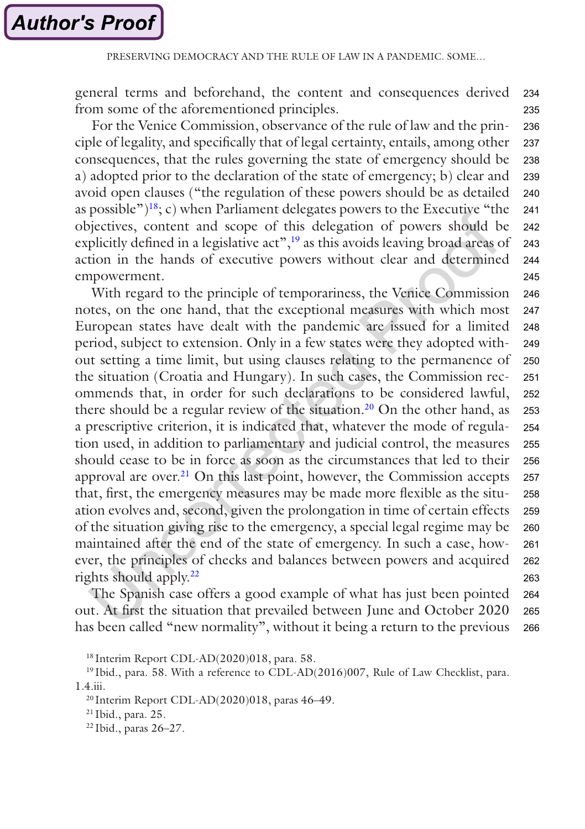general terms and beforehand, the content and consequences derived from some of the aforementioned principles. 234 235

For the Venice Commission, observance of the rule of law and the principle of legality, and specifically that of legal certainty, entails, among other consequences, that the rules governing the state of emergency should be a) adopted prior to the declaration of the state of emergency; b) clear and avoid open clauses ("the regulation of these powers should be as detailed as possible")<sup>18</sup>; c) when Parliament delegates powers to the Executive "the objectives, content and scope of this delegation of powers should be explicitly defined in a legislative act", $\frac{19}{19}$  as this avoids leaving broad areas of action in the hands of executive powers without clear and determined empowerment. 236 237 238 239 240 241 242 243 244 245

With regard to the principle of temporariness, the Venice Commission notes, on the one hand, that the exceptional measures with which most European states have dealt with the pandemic are issued for a limited period, subject to extension. Only in a few states were they adopted without setting a time limit, but using clauses relating to the permanence of the situation (Croatia and Hungary). In such cases, the Commission recommends that, in order for such declarations to be considered lawful, there should be a regular review of the situation.<sup>20</sup> On the other hand, as a prescriptive criterion, it is indicated that, whatever the mode of regulation used, in addition to parliamentary and judicial control, the measures should cease to be in force as soon as the circumstances that led to their approval are over.<sup>21</sup> On this last point, however, the Commission accepts that, first, the emergency measures may be made more flexible as the situation evolves and, second, given the prolongation in time of certain effects of the situation giving rise to the emergency, a special legal regime may be maintained after the end of the state of emergency. In such a case, however, the principles of checks and balances between powers and acquired rights should apply.<sup>22</sup> 246 247 248 249 250 251 252 253 254 255 256 257 258 259 260 261 262 263

The Spanish case offers a good example of what has just been pointed out. At first the situation that prevailed between June and October 2020 has been called "new normality", without it being a return to the previous 264 265 266

<sup>18</sup> Interim Report CDL-AD(2020)018, para. 58.

<sup>19</sup> Ibid., para. 58. With a reference to CDL-AD(2016)007, Rule of Law Checklist, para. 1.4.iii.

<sup>20</sup> Interim Report CDL-AD(2020)018, paras 46–49.

<sup>21</sup> Ibid., para. 25.

<sup>22</sup> Ibid., paras 26–27.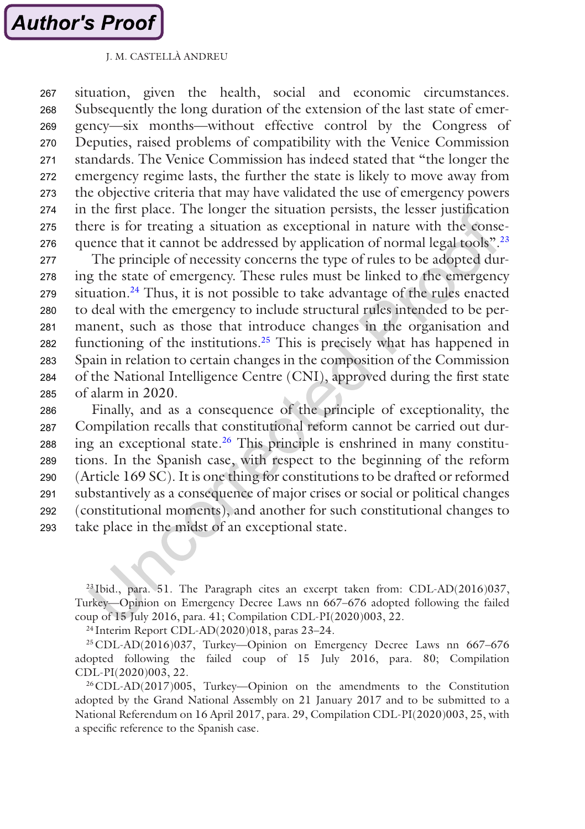situation, given the health, social and economic circumstances. Subsequently the long duration of the extension of the last state of emergency—six months—without effective control by the Congress of Deputies, raised problems of compatibility with the Venice Commission standards. The Venice Commission has indeed stated that "the longer the emergency regime lasts, the further the state is likely to move away from the objective criteria that may have validated the use of emergency powers in the first place. The longer the situation persists, the lesser justification there is for treating a situation as exceptional in nature with the consequence that it cannot be addressed by application of normal legal tools".<sup>23</sup> 267 268 269 270 271 272 273 274 275 276

The principle of necessity concerns the type of rules to be adopted during the state of emergency. These rules must be linked to the emergency situation.<sup>24</sup> Thus, it is not possible to take advantage of the rules enacted to deal with the emergency to include structural rules intended to be permanent, such as those that introduce changes in the organisation and functioning of the institutions.25 This is precisely what has happened in Spain in relation to certain changes in the composition of the Commission of the National Intelligence Centre (CNI), approved during the first state of alarm in 2020. 277 278 279 280 281 282 283 284 285

Finally, and as a consequence of the principle of exceptionality, the Compilation recalls that constitutional reform cannot be carried out during an exceptional state.<sup>26</sup> This principle is enshrined in many constitutions. In the Spanish case, with respect to the beginning of the reform (Article 169 SC). It is one thing for constitutions to be drafted or reformed substantively as a consequence of major crises or social or political changes (constitutional moments), and another for such constitutional changes to take place in the midst of an exceptional state. 286 287 288 289 290 291 292 293

<sup>23</sup> Ibid., para. 51. The Paragraph cites an excerpt taken from: CDL-AD(2016)037, Turkey—Opinion on Emergency Decree Laws nn 667–676 adopted following the failed coup of 15 July 2016, para. 41; Compilation CDL-PI(2020)003, 22.

<sup>24</sup> Interim Report CDL-AD(2020)018, paras 23–24.

25CDL-AD(2016)037, Turkey—Opinion on Emergency Decree Laws nn 667–676 adopted following the failed coup of 15 July 2016, para. 80; Compilation CDL-PI(2020)003, 22.

26CDL-AD(2017)005, Turkey—Opinion on the amendments to the Constitution adopted by the Grand National Assembly on 21 January 2017 and to be submitted to a National Referendum on 16 April 2017, para. 29, Compilation CDL-PI(2020)003, 25, with a specific reference to the Spanish case.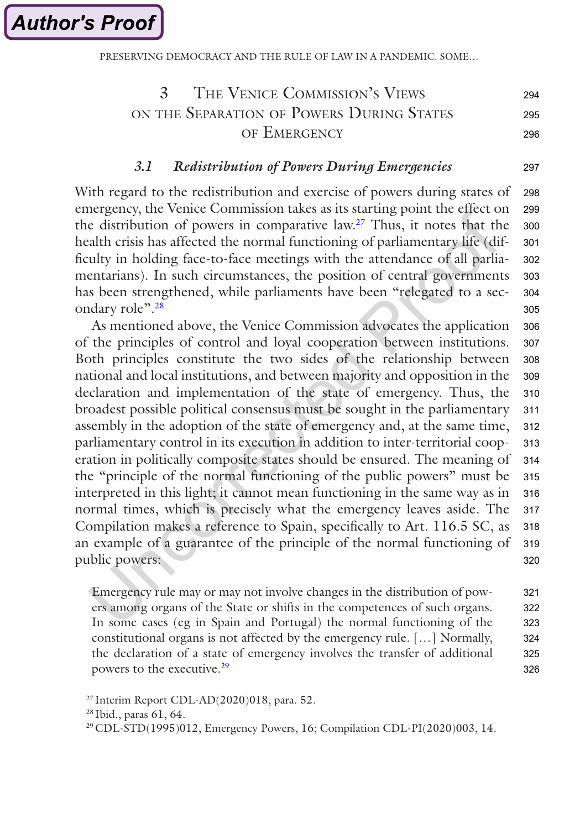**Author's Proof** 

PRESERVING DEMOCRACY AND THE RULE OF LAW IN A PANDEMIC. SOME

#### 3 The Venice Commission's Views ON THE SEPARATION OF POWERS DURING STATES of Emergency 294 295 296

297

# *3.1 Redistribution of Powers During Emergencies*

With regard to the redistribution and exercise of powers during states of emergency, the Venice Commission takes as its starting point the effect on the distribution of powers in comparative law.27 Thus, it notes that the health crisis has affected the normal functioning of parliamentary life (difficulty in holding face-to-face meetings with the attendance of all parliamentarians). In such circumstances, the position of central governments has been strengthened, while parliaments have been "relegated to a secondary role".<sup>28</sup> 298 299 300 301 302 303 304 305

As mentioned above, the Venice Commission advocates the application of the principles of control and loyal cooperation between institutions. Both principles constitute the two sides of the relationship between national and local institutions, and between majority and opposition in the declaration and implementation of the state of emergency. Thus, the broadest possible political consensus must be sought in the parliamentary assembly in the adoption of the state of emergency and, at the same time, parliamentary control in its execution in addition to inter-territorial cooperation in politically composite states should be ensured. The meaning of the "principle of the normal functioning of the public powers" must be interpreted in this light; it cannot mean functioning in the same way as in normal times, which is precisely what the emergency leaves aside. The Compilation makes a reference to Spain, specifically to Art. 116.5 SC, as an example of a guarantee of the principle of the normal functioning of public powers: 306 307 308 309 310 311 312 313 314 315 316 317 318 319 320

Emergency rule may or may not involve changes in the distribution of powers among organs of the State or shifts in the competences of such organs. In some cases (eg in Spain and Portugal) the normal functioning of the constitutional organs is not affected by the emergency rule. […] Normally, the declaration of a state of emergency involves the transfer of additional powers to the executive.<sup>29</sup> 321 322 323 324 325 326

 $27$  Interim Report CDL-AD(2020)018, para. 52.

<sup>28</sup> Ibid., paras 61, 64.

<sup>29</sup>CDL-STD(1995)012, Emergency Powers, 16; Compilation CDL-PI(2020)003, 14.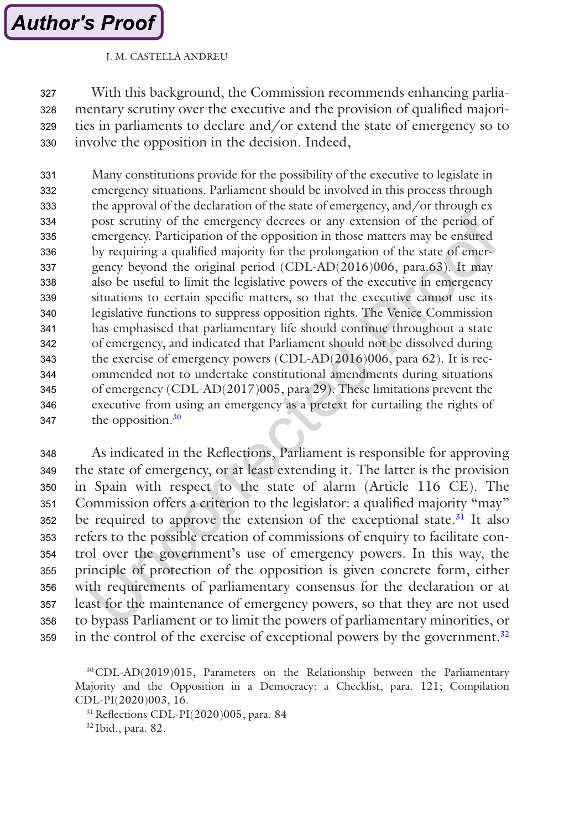# **Author's Proof**

# J. M. CASTELLÀ ANDREU

With this background, the Commission recommends enhancing parliamentary scrutiny over the executive and the provision of qualified majorities in parliaments to declare and/or extend the state of emergency so to involve the opposition in the decision. Indeed, 327 328 329 330

Many constitutions provide for the possibility of the executive to legislate in emergency situations. Parliament should be involved in this process through the approval of the declaration of the state of emergency, and/or through ex post scrutiny of the emergency decrees or any extension of the period of emergency. Participation of the opposition in those matters may be ensured by requiring a qualified majority for the prolongation of the state of emergency beyond the original period (CDL-AD(2016)006, para.63). It may also be useful to limit the legislative powers of the executive in emergency situations to certain specific matters, so that the executive cannot use its legislative functions to suppress opposition rights. The Venice Commission has emphasised that parliamentary life should continue throughout a state of emergency, and indicated that Parliament should not be dissolved during the exercise of emergency powers (CDL-AD(2016)006, para 62). It is recommended not to undertake constitutional amendments during situations of emergency (CDL-AD(2017)005, para 29). These limitations prevent the executive from using an emergency as a pretext for curtailing the rights of the opposition.<sup>30</sup> 331 332 333 334 335 336 337 338 339 340 341 342 343 344 345 346 347

As indicated in the Reflections, Parliament is responsible for approving the state of emergency, or at least extending it. The latter is the provision in Spain with respect to the state of alarm (Article 116 CE). The Commission offers a criterion to the legislator: a qualified majority "may" be required to approve the extension of the exceptional state.<sup>31</sup> It also refers to the possible creation of commissions of enquiry to facilitate control over the government's use of emergency powers. In this way, the principle of protection of the opposition is given concrete form, either with requirements of parliamentary consensus for the declaration or at least for the maintenance of emergency powers, so that they are not used to bypass Parliament or to limit the powers of parliamentary minorities, or in the control of the exercise of exceptional powers by the government. $32$ 348 349 350 351 352 353 354 355 356 357 358 359

31Reflections CDL-PI(2020)005, para. 84

<sup>32</sup> Ibid., para. 82.

<sup>30</sup>CDL-AD(2019)015, Parameters on the Relationship between the Parliamentary Majority and the Opposition in a Democracy: a Checklist, para. 121; Compilation CDL-PI(2020)003, 16.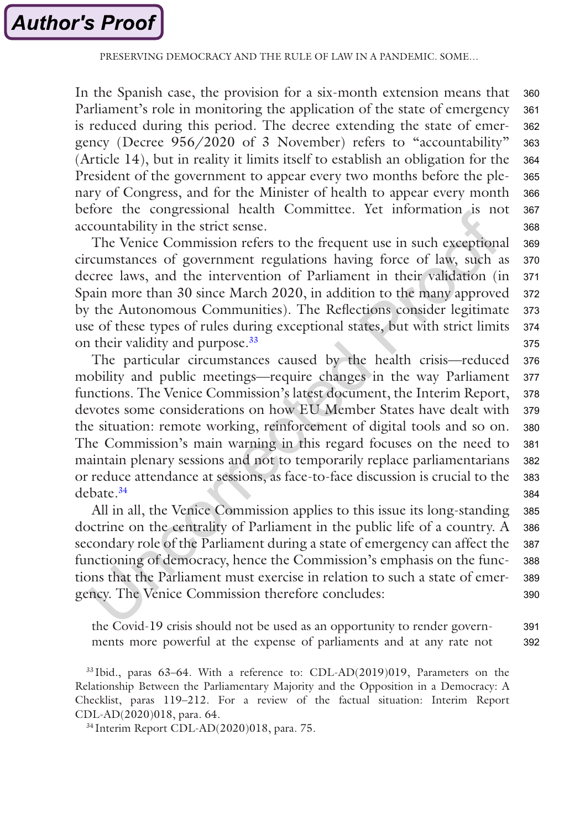In the Spanish case, the provision for a six-month extension means that Parliament's role in monitoring the application of the state of emergency is reduced during this period. The decree extending the state of emergency (Decree 956/2020 of 3 November) refers to "accountability" (Article 14), but in reality it limits itself to establish an obligation for the President of the government to appear every two months before the plenary of Congress, and for the Minister of health to appear every month before the congressional health Committee. Yet information is not accountability in the strict sense. 360 361 362 363 364 365 366 367 368

The Venice Commission refers to the frequent use in such exceptional circumstances of government regulations having force of law, such as decree laws, and the intervention of Parliament in their validation (in Spain more than 30 since March 2020, in addition to the many approved by the Autonomous Communities). The Reflections consider legitimate use of these types of rules during exceptional states, but with strict limits on their validity and purpose.<sup>33</sup> 369 370 371 372 373 374 375

The particular circumstances caused by the health crisis—reduced mobility and public meetings—require changes in the way Parliament functions. The Venice Commission's latest document, the Interim Report, devotes some considerations on how EU Member States have dealt with the situation: remote working, reinforcement of digital tools and so on. The Commission's main warning in this regard focuses on the need to maintain plenary sessions and not to temporarily replace parliamentarians or reduce attendance at sessions, as face-to-face discussion is crucial to the debate.34 376 377 378 379 380 381 382 383 384

All in all, the Venice Commission applies to this issue its long-standing doctrine on the centrality of Parliament in the public life of a country. A secondary role of the Parliament during a state of emergency can affect the functioning of democracy, hence the Commission's emphasis on the functions that the Parliament must exercise in relation to such a state of emergency. The Venice Commission therefore concludes: 385 386 387 388 389 390

the Covid-19 crisis should not be used as an opportunity to render governments more powerful at the expense of parliaments and at any rate not 391 392

<sup>33</sup> Ibid., paras 63–64. With a reference to: CDL-AD(2019)019, Parameters on the Relationship Between the Parliamentary Majority and the Opposition in a Democracy: A Checklist, paras 119–212. For a review of the factual situation: Interim Report CDL-AD(2020)018, para. 64.

<sup>34</sup> Interim Report CDL-AD(2020)018, para. 75.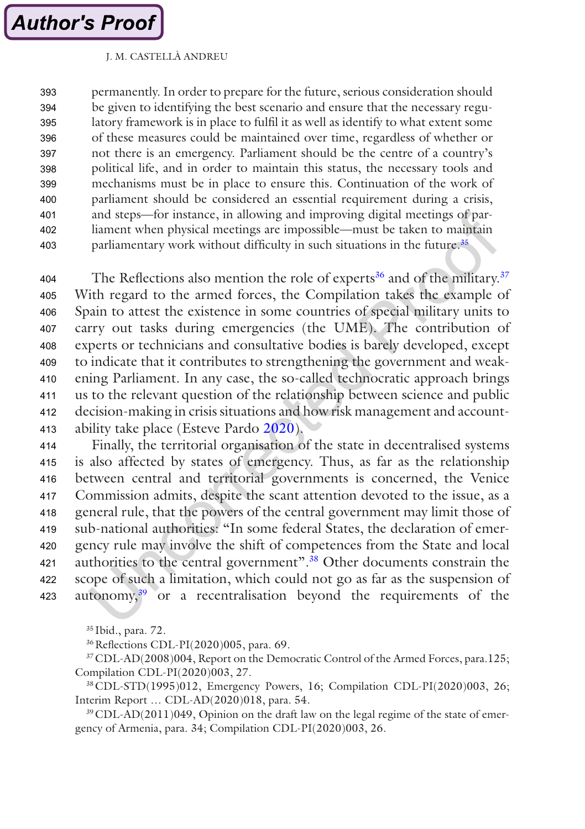permanently. In order to prepare for the future, serious consideration should be given to identifying the best scenario and ensure that the necessary regulatory framework is in place to fulfil it as well as identify to what extent some of these measures could be maintained over time, regardless of whether or not there is an emergency. Parliament should be the centre of a country's political life, and in order to maintain this status, the necessary tools and mechanisms must be in place to ensure this. Continuation of the work of parliament should be considered an essential requirement during a crisis, and steps—for instance, in allowing and improving digital meetings of parliament when physical meetings are impossible—must be taken to maintain parliamentary work without difficulty in such situations in the future.<sup>35</sup> 393 394 395 396 397 398 399 400 401 402 403

The Reflections also mention the role of experts<sup>36</sup> and of the military.<sup>37</sup> With regard to the armed forces, the Compilation takes the example of Spain to attest the existence in some countries of special military units to carry out tasks during emergencies (the UME). The contribution of experts or technicians and consultative bodies is barely developed, except to indicate that it contributes to strengthening the government and weakening Parliament. In any case, the so-called technocratic approach brings us to the relevant question of the relationship between science and public decision-making in crisis situations and how risk management and accountability take place (Esteve Pardo [2020](#page-19-0)). 404 405 406 407 408 409 410 411 412 413

Finally, the territorial organisation of the state in decentralised systems is also affected by states of emergency. Thus, as far as the relationship between central and territorial governments is concerned, the Venice Commission admits, despite the scant attention devoted to the issue, as a general rule, that the powers of the central government may limit those of sub-national authorities: "In some federal States, the declaration of emergency rule may involve the shift of competences from the State and local authorities to the central government".38 Other documents constrain the scope of such a limitation, which could not go as far as the suspension of autonomy,39 or a recentralisation beyond the requirements of the 414 415 416 417 418 419 420 421 422 423

<sup>35</sup> Ibid., para. 72.

36Reflections CDL-PI(2020)005, para. 69.

37CDL-AD(2008)004, Report on the Democratic Control of the Armed Forces, para.125; Compilation CDL-PI(2020)003, 27.

38CDL-STD(1995)012, Emergency Powers, 16; Compilation CDL-PI(2020)003, 26; Interim Report … CDL-AD(2020)018, para. 54.

39CDL-AD(2011)049, Opinion on the draft law on the legal regime of the state of emergency of Armenia, para. 34; Compilation CDL-PI(2020)003, 26.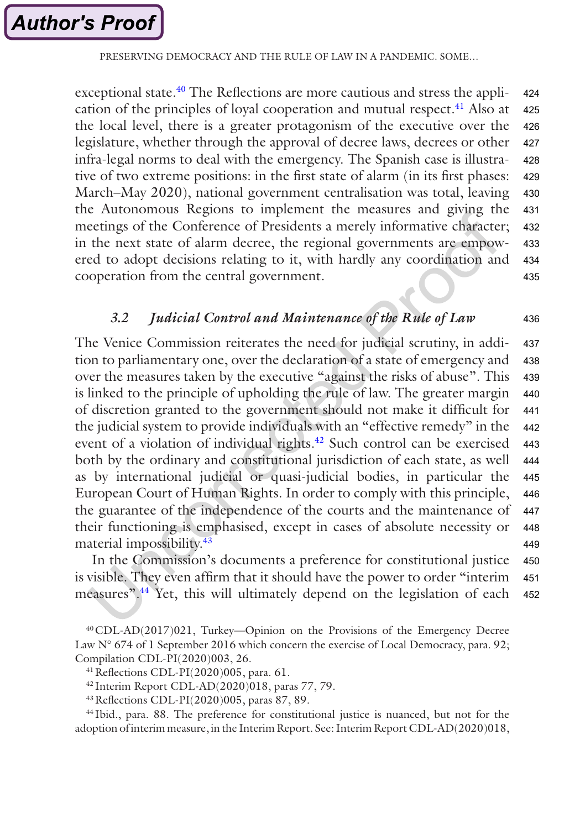exceptional state.<sup>40</sup> The Reflections are more cautious and stress the application of the principles of loyal cooperation and mutual respect.<sup>41</sup> Also at the local level, there is a greater protagonism of the executive over the legislature, whether through the approval of decree laws, decrees or other infra-legal norms to deal with the emergency. The Spanish case is illustrative of two extreme positions: in the first state of alarm (in its first phases: March–May 2020), national government centralisation was total, leaving the Autonomous Regions to implement the measures and giving the meetings of the Conference of Presidents a merely informative character; in the next state of alarm decree, the regional governments are empowered to adopt decisions relating to it, with hardly any coordination and cooperation from the central government. 424 425 426 427 428 429 430 431 432 433 434 435

# *3.2 Judicial Control and Maintenance of the Rule of Law*

436

The Venice Commission reiterates the need for judicial scrutiny, in addition to parliamentary one, over the declaration of a state of emergency and over the measures taken by the executive "against the risks of abuse". This is linked to the principle of upholding the rule of law. The greater margin of discretion granted to the government should not make it difficult for the judicial system to provide individuals with an "effective remedy" in the event of a violation of individual rights.<sup>42</sup> Such control can be exercised both by the ordinary and constitutional jurisdiction of each state, as well as by international judicial or quasi-judicial bodies, in particular the European Court of Human Rights. In order to comply with this principle, the guarantee of the independence of the courts and the maintenance of their functioning is emphasised, except in cases of absolute necessity or material impossibility.<sup>43</sup> 437 438 439 440 441 442 443 444 445 446 447 448 449

In the Commission's documents a preference for constitutional justice is visible. They even affirm that it should have the power to order "interim measures".44 Yet, this will ultimately depend on the legislation of each 450 451 452

43Reflections CDL-PI(2020)005, paras 87, 89.

<sup>44</sup> Ibid., para. 88. The preference for constitutional justice is nuanced, but not for the adoption of interim measure, in the Interim Report. See: Interim Report CDL-AD(2020)018,

<sup>40</sup>CDL-AD(2017)021, Turkey—Opinion on the Provisions of the Emergency Decree Law N° 674 of 1 September 2016 which concern the exercise of Local Democracy, para. 92; Compilation CDL-PI(2020)003, 26.

<sup>41</sup>Reflections CDL-PI(2020)005, para. 61.

<sup>42</sup> Interim Report CDL-AD(2020)018, paras 77, 79.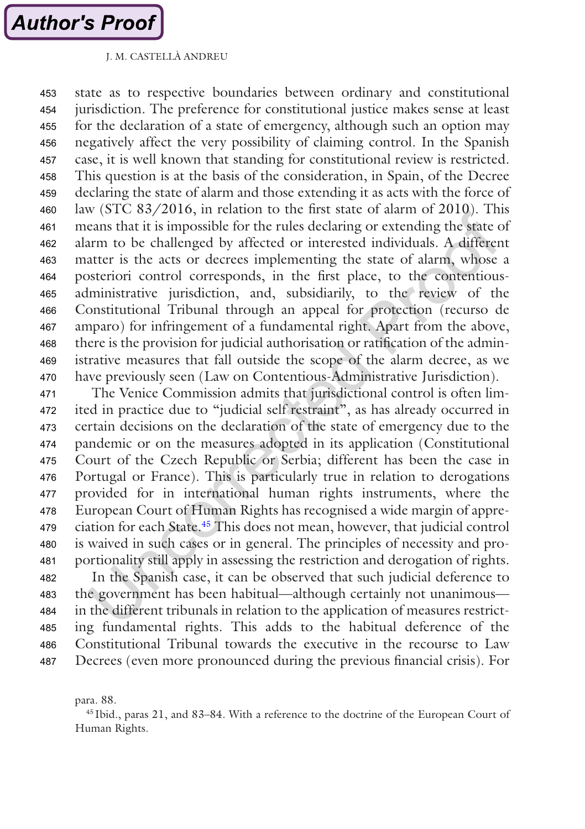state as to respective boundaries between ordinary and constitutional jurisdiction. The preference for constitutional justice makes sense at least for the declaration of a state of emergency, although such an option may negatively affect the very possibility of claiming control. In the Spanish case, it is well known that standing for constitutional review is restricted. This question is at the basis of the consideration, in Spain, of the Decree declaring the state of alarm and those extending it as acts with the force of law (STC 83/2016, in relation to the first state of alarm of 2010). This means that it is impossible for the rules declaring or extending the state of alarm to be challenged by affected or interested individuals. A different matter is the acts or decrees implementing the state of alarm, whose a posteriori control corresponds, in the first place, to the contentiousadministrative jurisdiction, and, subsidiarily, to the review of the Constitutional Tribunal through an appeal for protection (recurso de amparo) for infringement of a fundamental right. Apart from the above, there is the provision for judicial authorisation or ratification of the administrative measures that fall outside the scope of the alarm decree, as we have previously seen (Law on Contentious-Administrative Jurisdiction). 453 454 455 456 457 458 459 460 461 462 463 464 465 466 467 468 469 470

The Venice Commission admits that jurisdictional control is often limited in practice due to "judicial self restraint", as has already occurred in certain decisions on the declaration of the state of emergency due to the pandemic or on the measures adopted in its application (Constitutional Court of the Czech Republic or Serbia; different has been the case in Portugal or France). This is particularly true in relation to derogations provided for in international human rights instruments, where the European Court of Human Rights has recognised a wide margin of appreciation for each State.45 This does not mean, however, that judicial control is waived in such cases or in general. The principles of necessity and proportionality still apply in assessing the restriction and derogation of rights. In the Spanish case, it can be observed that such judicial deference to the government has been habitual—although certainly not unanimous in the different tribunals in relation to the application of measures restricting fundamental rights. This adds to the habitual deference of the Constitutional Tribunal towards the executive in the recourse to Law 471 472 473 474 475 476 477 478 479 480 481 482 483 484 485 486

para. 88.

487

<sup>45</sup> Ibid., paras 21, and 83–84. With a reference to the doctrine of the European Court of Human Rights.

Decrees (even more pronounced during the previous financial crisis). For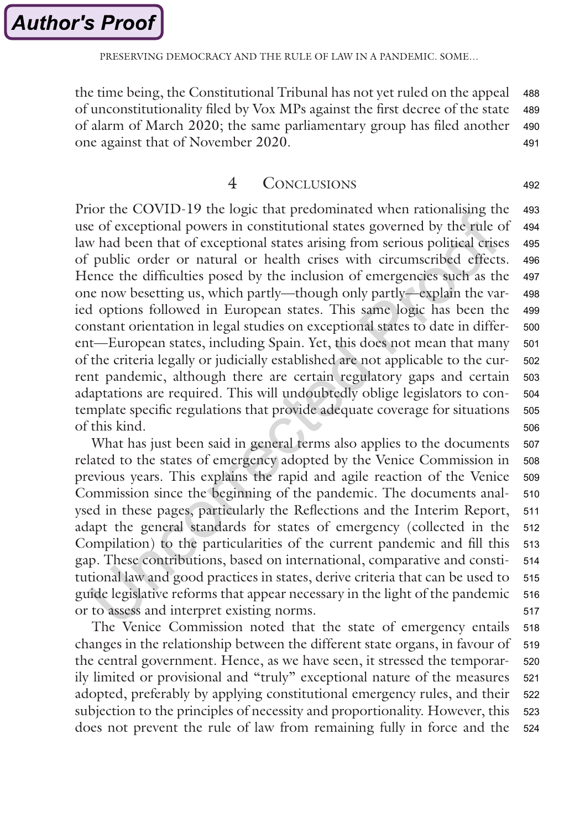PRESERVING DEMOCRACY AND THE RULE OF LAW IN A PANDEMIC. SOME

the time being, the Constitutional Tribunal has not yet ruled on the appeal of unconstitutionality filed by Vox MPs against the first decree of the state of alarm of March 2020; the same parliamentary group has filed another one against that of November 2020. 488 489 490 491

# 4 Conclusions

492

Prior the COVID-19 the logic that predominated when rationalising the use of exceptional powers in constitutional states governed by the rule of law had been that of exceptional states arising from serious political crises of public order or natural or health crises with circumscribed effects. Hence the difficulties posed by the inclusion of emergencies such as the one now besetting us, which partly—though only partly—explain the varied options followed in European states. This same logic has been the constant orientation in legal studies on exceptional states to date in different—European states, including Spain. Yet, this does not mean that many of the criteria legally or judicially established are not applicable to the current pandemic, although there are certain regulatory gaps and certain adaptations are required. This will undoubtedly oblige legislators to contemplate specific regulations that provide adequate coverage for situations of this kind. 493 494 495 496 497 498 499 500 501 502 503 504 505 506

What has just been said in general terms also applies to the documents related to the states of emergency adopted by the Venice Commission in previous years. This explains the rapid and agile reaction of the Venice Commission since the beginning of the pandemic. The documents analysed in these pages, particularly the Reflections and the Interim Report, adapt the general standards for states of emergency (collected in the Compilation) to the particularities of the current pandemic and fill this gap. These contributions, based on international, comparative and constitutional law and good practices in states, derive criteria that can be used to guide legislative reforms that appear necessary in the light of the pandemic or to assess and interpret existing norms. 507 508 509 510 511 512 513 514 515 516 517

The Venice Commission noted that the state of emergency entails changes in the relationship between the different state organs, in favour of the central government. Hence, as we have seen, it stressed the temporarily limited or provisional and "truly" exceptional nature of the measures adopted, preferably by applying constitutional emergency rules, and their subjection to the principles of necessity and proportionality. However, this does not prevent the rule of law from remaining fully in force and the 518 519 520 521 522 523 524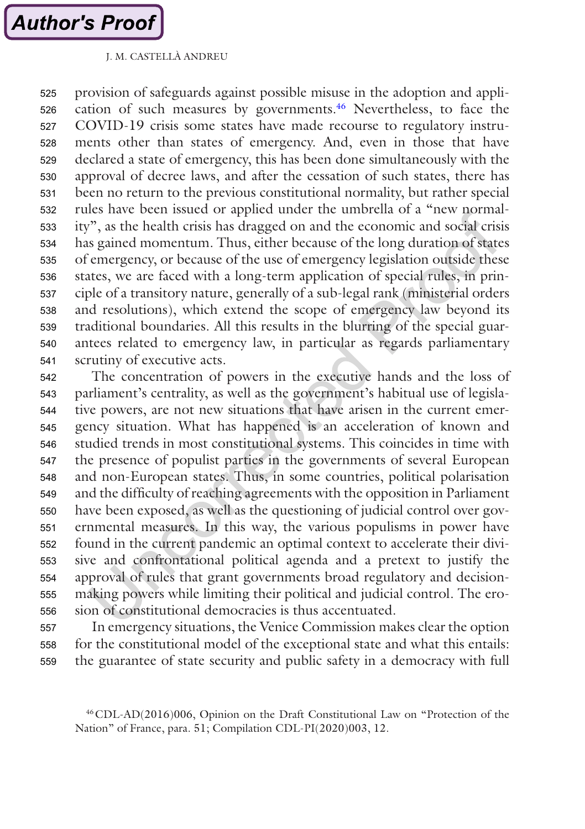provision of safeguards against possible misuse in the adoption and application of such measures by governments.<sup>46</sup> Nevertheless, to face the COVID-19 crisis some states have made recourse to regulatory instruments other than states of emergency. And, even in those that have declared a state of emergency, this has been done simultaneously with the approval of decree laws, and after the cessation of such states, there has been no return to the previous constitutional normality, but rather special rules have been issued or applied under the umbrella of a "new normality", as the health crisis has dragged on and the economic and social crisis has gained momentum. Thus, either because of the long duration of states of emergency, or because of the use of emergency legislation outside these states, we are faced with a long-term application of special rules, in principle of a transitory nature, generally of a sub-legal rank (ministerial orders and resolutions), which extend the scope of emergency law beyond its traditional boundaries. All this results in the blurring of the special guarantees related to emergency law, in particular as regards parliamentary scrutiny of executive acts. 525 526 527 528 529 530 531 532 533 534 535 536 537 538 539 540 541

The concentration of powers in the executive hands and the loss of parliament's centrality, as well as the government's habitual use of legislative powers, are not new situations that have arisen in the current emergency situation. What has happened is an acceleration of known and studied trends in most constitutional systems. This coincides in time with the presence of populist parties in the governments of several European and non-European states. Thus, in some countries, political polarisation and the difficulty of reaching agreements with the opposition in Parliament have been exposed, as well as the questioning of judicial control over governmental measures. In this way, the various populisms in power have found in the current pandemic an optimal context to accelerate their divisive and confrontational political agenda and a pretext to justify the approval of rules that grant governments broad regulatory and decisionmaking powers while limiting their political and judicial control. The erosion of constitutional democracies is thus accentuated. 542 543 544 545 546 547 548 549 550 551 552 553 554 555 556

In emergency situations, the Venice Commission makes clear the option for the constitutional model of the exceptional state and what this entails: the guarantee of state security and public safety in a democracy with full 557 558 559

<sup>46</sup>CDL-AD(2016)006, Opinion on the Draft Constitutional Law on "Protection of the Nation" of France, para. 51; Compilation CDL-PI(2020)003, 12.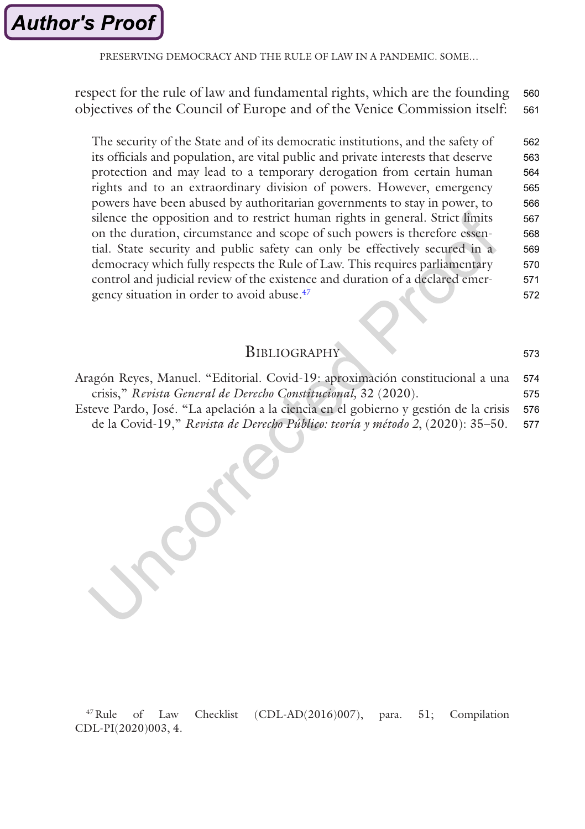<span id="page-19-0"></span>PRESERVING DEMOCRACY AND THE RULE OF LAW IN A PANDEMIC. SOME

respect for the rule of law and fundamental rights, which are the founding objectives of the Council of Europe and of the Venice Commission itself: 560 561

The security of the State and of its democratic institutions, and the safety of its officials and population, are vital public and private interests that deserve protection and may lead to a temporary derogation from certain human rights and to an extraordinary division of powers. However, emergency powers have been abused by authoritarian governments to stay in power, to silence the opposition and to restrict human rights in general. Strict limits on the duration, circumstance and scope of such powers is therefore essential. State security and public safety can only be effectively secured in a democracy which fully respects the Rule of Law. This requires parliamentary control and judicial review of the existence and duration of a declared emergency situation in order to avoid abuse.<sup>47</sup> 562 563 564 565 566 567 568 569 570 571 572

| BIBLIOGRAPHY |  |
|--------------|--|
|--------------|--|

573

| Aragón Reyes, Manuel. "Editorial. Covid-19: aproximación constitucional a una        | 574 |
|--------------------------------------------------------------------------------------|-----|
| crisis," Revista General de Derecho Constitucional, 32 (2020).                       | 575 |
| Esteve Pardo, José. "La apelación a la ciencia en el gobierno y gestión de la crisis | 576 |
| de la Covid-19," Revista de Derecho Público: teoría y método 2, (2020): 35–50.       | 577 |
|                                                                                      |     |

47Rule of Law Checklist (CDL-AD(2016)007), para. 51; Compilation CDL-PI(2020)003, 4.